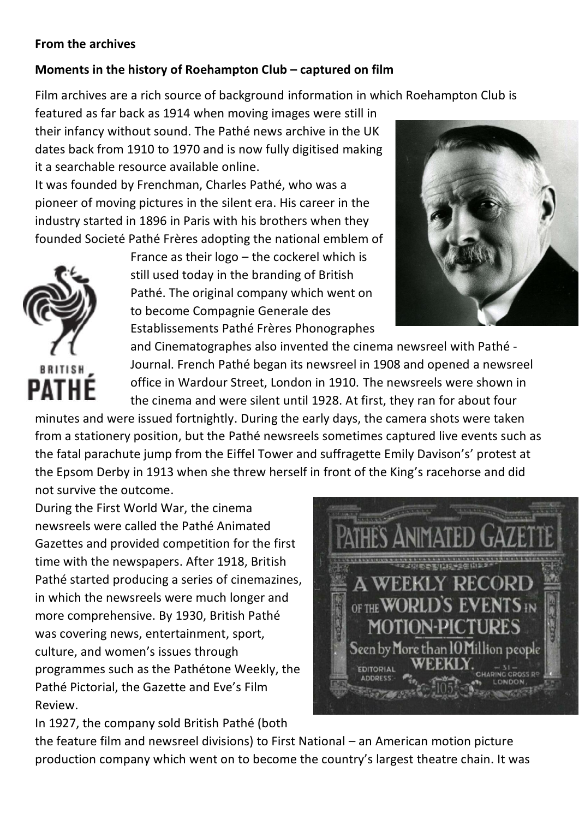## **From the archives**

## **Moments in the history of Roehampton Club – captured on film**

Film archives are a rich source of background information in which Roehampton Club is

featured as far back as 1914 when moving images were still in their infancy without sound. The Pathé news archive in the UK dates back from 1910 to 1970 and is now fully digitised making it a searchable resource available online.

It was founded by Frenchman, Charles Pathé, who was a pioneer of moving pictures in the silent era. His career in the industry started in 1896 in Paris with his brothers when they founded Societé Pathé Frères adopting the national emblem of

> France as their logo – the cockerel which is still used today in the branding of British Pathé. The original company which went on to become Compagnie Generale des Establissements Pathé Frères Phonographes





and Cinematographes also invented the cinema newsreel with Pathé - Journal. French Pathé began its newsreel in 1908 and opened a newsreel office in Wardour Street, London in 1910. The newsreels were shown in the cinema and were silent until 1928. At first, they ran for about four

minutes and were issued fortnightly. During the early days, the camera shots were taken from a stationery position, but the Pathé newsreels sometimes captured live events such as the fatal parachute jump from the Eiffel Tower and suffragette Emily Davison's' protest at the Epsom Derby in 1913 when she threw herself in front of the King's racehorse and did not survive the outcome.

During the First World War, the cinema newsreels were called the Pathé Animated Gazettes and provided competition for the first time with the newspapers. After 1918, British Pathé started producing a series of cinemazines, in which the newsreels were much longer and more comprehensive. By 1930, British Pathé was covering news, entertainment, sport, culture, and women's issues through programmes such as the Pathétone Weekly, the Pathé Pictorial, the Gazette and Eve's Film Review.

In 1927, the company sold British Pathé (both



the feature film and newsreel divisions) to First National – an American motion picture production company which went on to become the country's largest theatre chain. It was